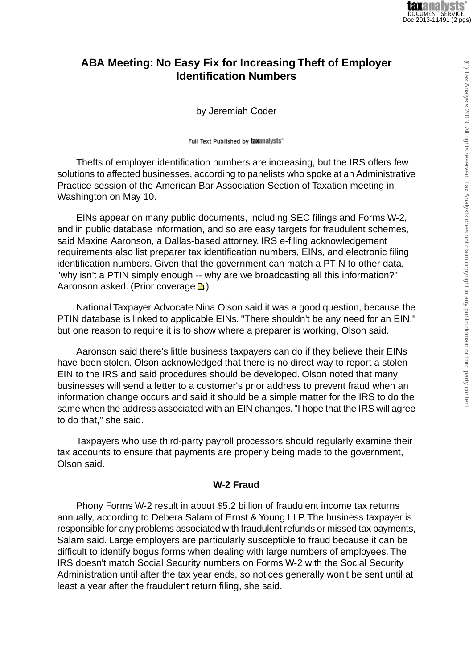## **ABA Meeting: No Easy Fix for Increasing Theft of Employer Identification Numbers**

by Jeremiah Coder

Full Text Published by taxanalysts®

Thefts of employer identification numbers are increasing, but the IRS offers few solutions to affected businesses, according to panelists who spoke at an Administrative Practice session of the American Bar Association Section of Taxation meeting in Washington on May 10.

EINs appear on many public documents, including SEC filings and Forms W-2, and in public database information, and so are easy targets for fraudulent schemes, said Maxine Aaronson, a Dallas-based attorney. IRS e-filing acknowledgement requirements also list preparer tax identification numbers, EINs, and electronic filing identification numbers. Given that the government can match a PTIN to other data, "why isn't a PTIN simply enough -- why are we broadcasting all this information?" Aaronson asked. (Prior coverage **a**.)

National Taxpayer Advocate Nina Olson said it was a good question, because the PTIN database is linked to applicable EINs. "There shouldn't be any need for an EIN," but one reason to require it is to show where a preparer is working, Olson said.

Aaronson said there's little business taxpayers can do if they believe their EINs have been stolen. Olson acknowledged that there is no direct way to report a stolen EIN to the IRS and said procedures should be developed. Olson noted that many businesses will send a letter to a customer's prior address to prevent fraud when an information change occurs and said it should be a simple matter for the IRS to do the same when the address associated with an EIN changes. "I hope that the IRS will agree to do that," she said.

Taxpayers who use third-party payroll processors should regularly examine their tax accounts to ensure that payments are properly being made to the government, Olson said.

## **W-2 Fraud**

Phony Forms W-2 result in about \$5.2 billion of fraudulent income tax returns annually, according to Debera Salam of Ernst & Young LLP. The business taxpayer is responsible for any problems associated with fraudulent refunds or missed tax payments, Salam said. Large employers are particularly susceptible to fraud because it can be difficult to identify bogus forms when dealing with large numbers of employees. The IRS doesn't match Social Security numbers on Forms W-2 with the Social Security Administration until after the tax year ends, so notices generally won't be sent until at least a year after the fraudulent return filing, she said.